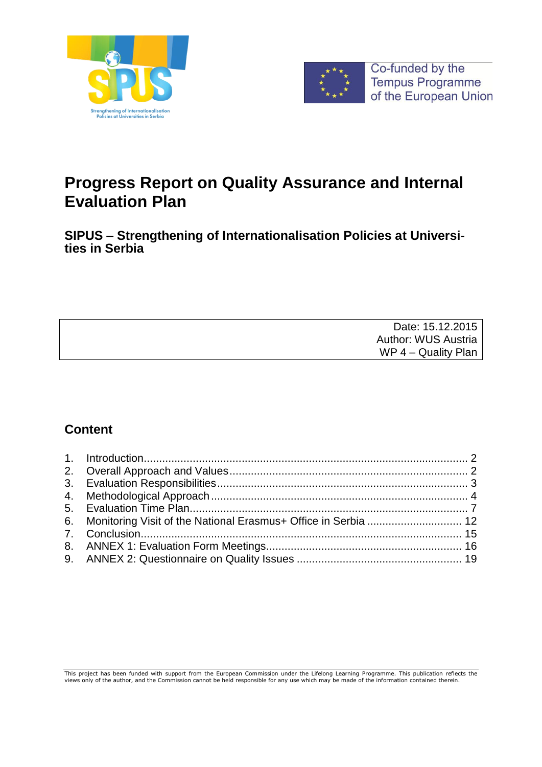



# **Progress Report on Quality Assurance and Internal Evaluation Plan**

**SIPUS – Strengthening of Internationalisation Policies at Universities in Serbia**

| Date: 15.12.2015           |
|----------------------------|
| <b>Author: WUS Austria</b> |
| WP 4 – Quality Plan        |

# **Content**

This project has been funded with support from the European Commission under the Lifelong Learning Programme. This publication reflects the<br>views only of the author, and the Commission cannot be held responsible for any us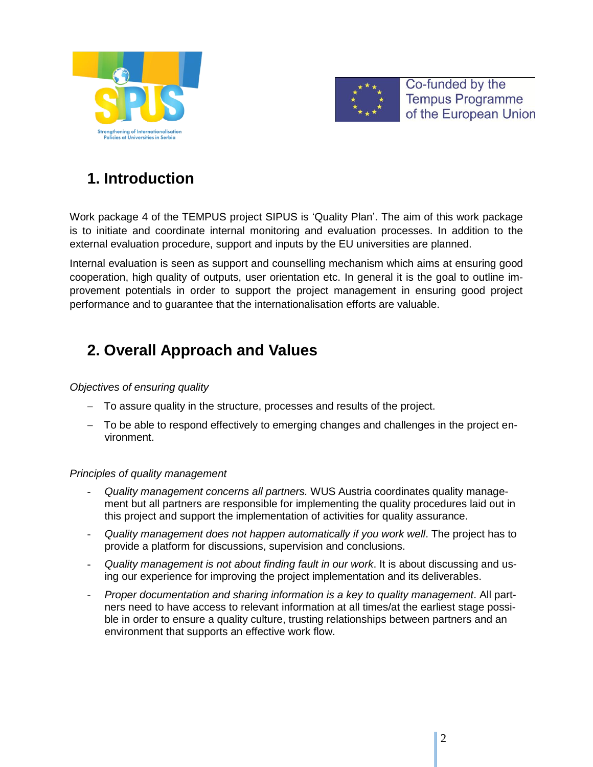



# **1. Introduction**

<span id="page-1-0"></span>Work package 4 of the TEMPUS project SIPUS is 'Quality Plan'. The aim of this work package is to initiate and coordinate internal monitoring and evaluation processes. In addition to the external evaluation procedure, support and inputs by the EU universities are planned.

Internal evaluation is seen as support and counselling mechanism which aims at ensuring good cooperation, high quality of outputs, user orientation etc. In general it is the goal to outline improvement potentials in order to support the project management in ensuring good project performance and to guarantee that the internationalisation efforts are valuable.

# **2. Overall Approach and Values**

### <span id="page-1-1"></span>*Objectives of ensuring quality*

- To assure quality in the structure, processes and results of the project.
- To be able to respond effectively to emerging changes and challenges in the project environment.

### *Principles of quality management*

- *Quality management concerns all partners.* WUS Austria coordinates quality management but all partners are responsible for implementing the quality procedures laid out in this project and support the implementation of activities for quality assurance.
- *Quality management does not happen automatically if you work well*. The project has to provide a platform for discussions, supervision and conclusions.
- *Quality management is not about finding fault in our work*. It is about discussing and using our experience for improving the project implementation and its deliverables.
- *Proper documentation and sharing information is a key to quality management*. All partners need to have access to relevant information at all times/at the earliest stage possible in order to ensure a quality culture, trusting relationships between partners and an environment that supports an effective work flow.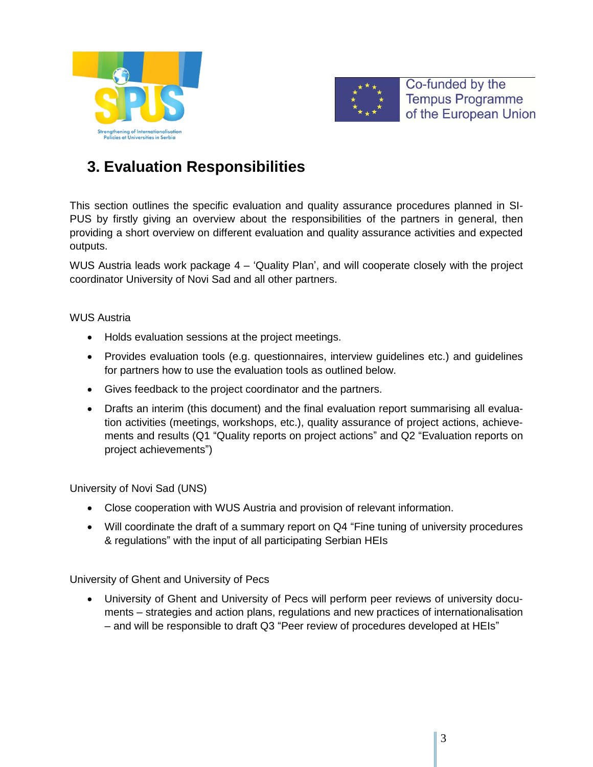



# **3. Evaluation Responsibilities**

<span id="page-2-0"></span>This section outlines the specific evaluation and quality assurance procedures planned in SI-PUS by firstly giving an overview about the responsibilities of the partners in general, then providing a short overview on different evaluation and quality assurance activities and expected outputs.

WUS Austria leads work package 4 – 'Quality Plan', and will cooperate closely with the project coordinator University of Novi Sad and all other partners.

### WUS Austria

- Holds evaluation sessions at the project meetings.
- Provides evaluation tools (e.g. questionnaires, interview guidelines etc.) and guidelines for partners how to use the evaluation tools as outlined below.
- Gives feedback to the project coordinator and the partners.
- Drafts an interim (this document) and the final evaluation report summarising all evaluation activities (meetings, workshops, etc.), quality assurance of project actions, achievements and results (Q1 "Quality reports on project actions" and Q2 "Evaluation reports on project achievements")

University of Novi Sad (UNS)

- Close cooperation with WUS Austria and provision of relevant information.
- Will coordinate the draft of a summary report on Q4 "Fine tuning of university procedures & regulations" with the input of all participating Serbian HEIs

University of Ghent and University of Pecs

 University of Ghent and University of Pecs will perform peer reviews of university documents – strategies and action plans, regulations and new practices of internationalisation – and will be responsible to draft Q3 "Peer review of procedures developed at HEIs"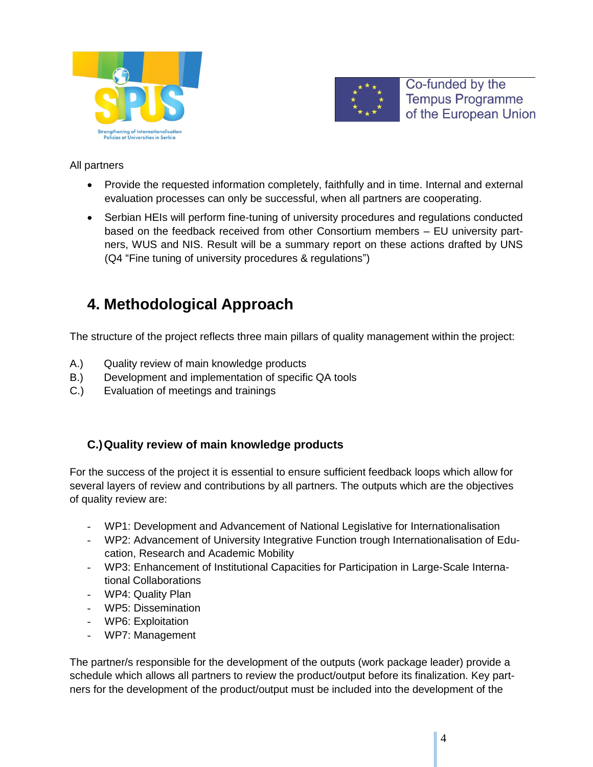



### All partners

- Provide the requested information completely, faithfully and in time. Internal and external evaluation processes can only be successful, when all partners are cooperating.
- Serbian HEIs will perform fine-tuning of university procedures and regulations conducted based on the feedback received from other Consortium members – EU university partners, WUS and NIS. Result will be a summary report on these actions drafted by UNS (Q4 "Fine tuning of university procedures & regulations")

# **4. Methodological Approach**

<span id="page-3-0"></span>The structure of the project reflects three main pillars of quality management within the project:

- A.) Quality review of main knowledge products
- B.) Development and implementation of specific QA tools
- C.) Evaluation of meetings and trainings

# **C.)Quality review of main knowledge products**

For the success of the project it is essential to ensure sufficient feedback loops which allow for several layers of review and contributions by all partners. The outputs which are the objectives of quality review are:

- WP1: Development and Advancement of National Legislative for Internationalisation
- WP2: Advancement of University Integrative Function trough Internationalisation of Education, Research and Academic Mobility
- WP3: Enhancement of Institutional Capacities for Participation in Large-Scale International Collaborations
- WP4: Quality Plan
- WP5: Dissemination
- WP6: Exploitation
- WP7: Management

The partner/s responsible for the development of the outputs (work package leader) provide a schedule which allows all partners to review the product/output before its finalization. Key partners for the development of the product/output must be included into the development of the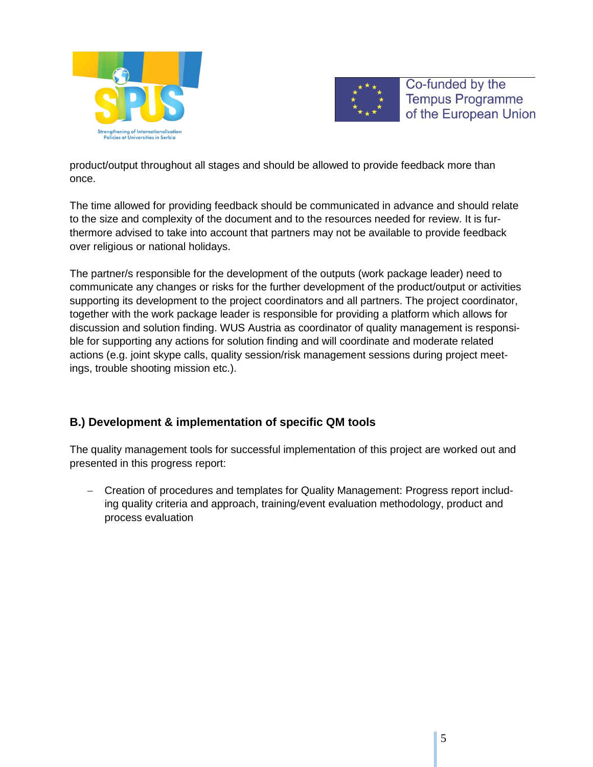



product/output throughout all stages and should be allowed to provide feedback more than once.

The time allowed for providing feedback should be communicated in advance and should relate to the size and complexity of the document and to the resources needed for review. It is furthermore advised to take into account that partners may not be available to provide feedback over religious or national holidays.

The partner/s responsible for the development of the outputs (work package leader) need to communicate any changes or risks for the further development of the product/output or activities supporting its development to the project coordinators and all partners. The project coordinator, together with the work package leader is responsible for providing a platform which allows for discussion and solution finding. WUS Austria as coordinator of quality management is responsible for supporting any actions for solution finding and will coordinate and moderate related actions (e.g. joint skype calls, quality session/risk management sessions during project meetings, trouble shooting mission etc.).

# **B.) Development & implementation of specific QM tools**

The quality management tools for successful implementation of this project are worked out and presented in this progress report:

 Creation of procedures and templates for Quality Management: Progress report including quality criteria and approach, training/event evaluation methodology, product and process evaluation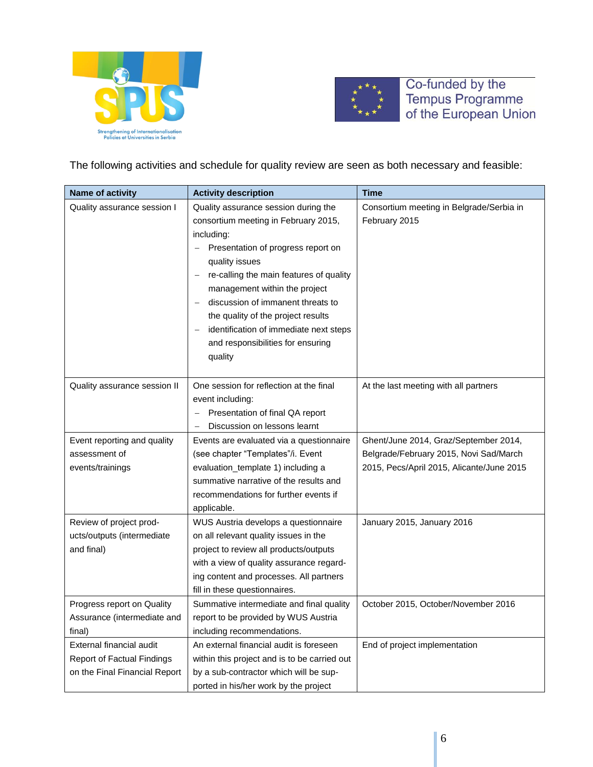



The following activities and schedule for quality review are seen as both necessary and feasible:

| <b>Name of activity</b>           | <b>Activity description</b>                                        | <b>Time</b>                               |
|-----------------------------------|--------------------------------------------------------------------|-------------------------------------------|
| Quality assurance session I       | Quality assurance session during the                               | Consortium meeting in Belgrade/Serbia in  |
|                                   | consortium meeting in February 2015,                               | February 2015                             |
|                                   | including:                                                         |                                           |
|                                   | Presentation of progress report on                                 |                                           |
|                                   | quality issues                                                     |                                           |
|                                   | re-calling the main features of quality                            |                                           |
|                                   | management within the project                                      |                                           |
|                                   | discussion of immanent threats to                                  |                                           |
|                                   | the quality of the project results                                 |                                           |
|                                   | identification of immediate next steps<br>$\overline{\phantom{0}}$ |                                           |
|                                   | and responsibilities for ensuring                                  |                                           |
|                                   | quality                                                            |                                           |
|                                   |                                                                    |                                           |
| Quality assurance session II      | One session for reflection at the final                            | At the last meeting with all partners     |
|                                   | event including:                                                   |                                           |
|                                   | Presentation of final QA report                                    |                                           |
|                                   | Discussion on lessons learnt                                       |                                           |
| Event reporting and quality       | Events are evaluated via a questionnaire                           | Ghent/June 2014, Graz/September 2014,     |
| assessment of                     | (see chapter "Templates"/i. Event                                  | Belgrade/February 2015, Novi Sad/March    |
| events/trainings                  | evaluation_template 1) including a                                 | 2015, Pecs/April 2015, Alicante/June 2015 |
|                                   | summative narrative of the results and                             |                                           |
|                                   | recommendations for further events if                              |                                           |
|                                   | applicable.                                                        |                                           |
| Review of project prod-           | WUS Austria develops a questionnaire                               | January 2015, January 2016                |
| ucts/outputs (intermediate        | on all relevant quality issues in the                              |                                           |
| and final)                        | project to review all products/outputs                             |                                           |
|                                   | with a view of quality assurance regard-                           |                                           |
|                                   | ing content and processes. All partners                            |                                           |
|                                   | fill in these questionnaires.                                      |                                           |
| Progress report on Quality        | Summative intermediate and final quality                           | October 2015, October/November 2016       |
| Assurance (intermediate and       | report to be provided by WUS Austria                               |                                           |
| final)                            | including recommendations.                                         |                                           |
| External financial audit          | An external financial audit is foreseen                            | End of project implementation             |
| <b>Report of Factual Findings</b> | within this project and is to be carried out                       |                                           |
| on the Final Financial Report     | by a sub-contractor which will be sup-                             |                                           |
|                                   | ported in his/her work by the project                              |                                           |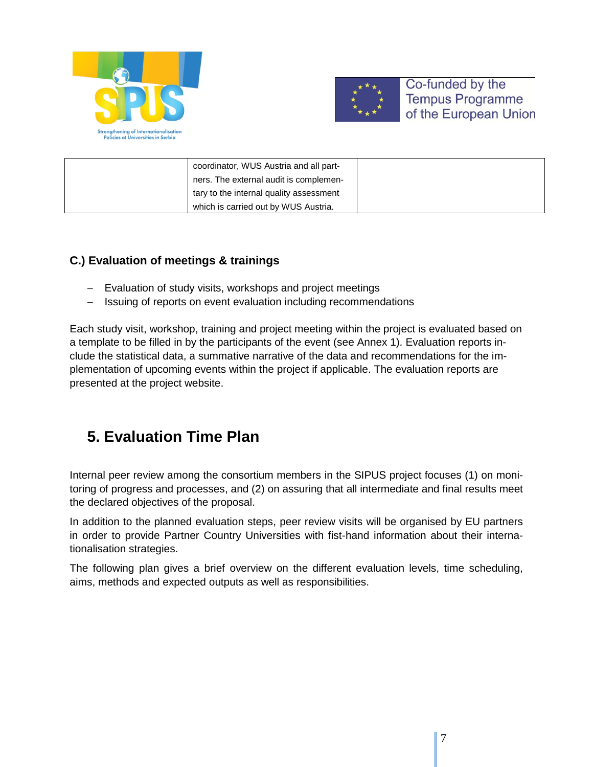



| coordinator, WUS Austria and all part-  |  |
|-----------------------------------------|--|
| ners. The external audit is complemen-  |  |
| tary to the internal quality assessment |  |
| which is carried out by WUS Austria.    |  |

# **C.) Evaluation of meetings & trainings**

- Evaluation of study visits, workshops and project meetings
- Issuing of reports on event evaluation including recommendations

Each study visit, workshop, training and project meeting within the project is evaluated based on a template to be filled in by the participants of the event (see Annex 1). Evaluation reports include the statistical data, a summative narrative of the data and recommendations for the implementation of upcoming events within the project if applicable. The evaluation reports are presented at the project website.

# **5. Evaluation Time Plan**

<span id="page-6-0"></span>Internal peer review among the consortium members in the SIPUS project focuses (1) on monitoring of progress and processes, and (2) on assuring that all intermediate and final results meet the declared objectives of the proposal.

In addition to the planned evaluation steps, peer review visits will be organised by EU partners in order to provide Partner Country Universities with fist-hand information about their internationalisation strategies.

The following plan gives a brief overview on the different evaluation levels, time scheduling, aims, methods and expected outputs as well as responsibilities.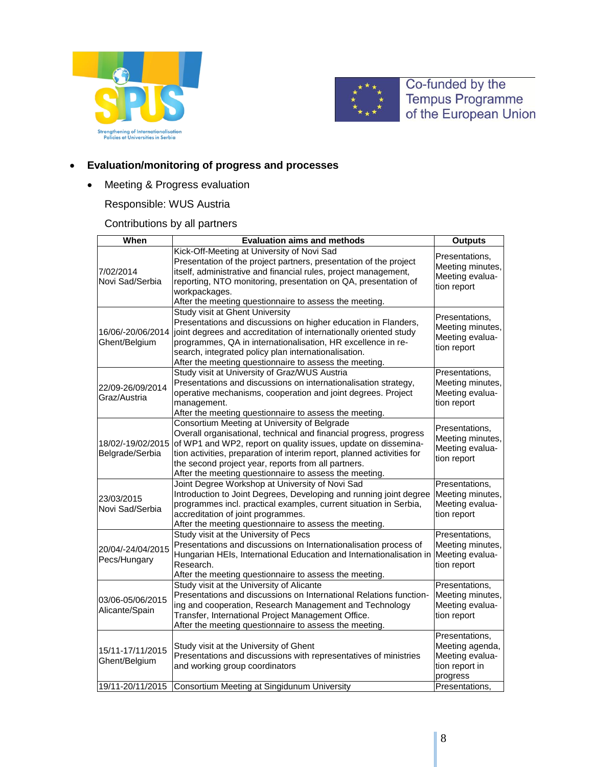



## **Evaluation/monitoring of progress and processes**

Meeting & Progress evaluation

# Responsible: WUS Austria

## Contributions by all partners

| When              | <b>Evaluation aims and methods</b>                                                                              | <b>Outputs</b>                     |
|-------------------|-----------------------------------------------------------------------------------------------------------------|------------------------------------|
|                   | Kick-Off-Meeting at University of Novi Sad                                                                      |                                    |
|                   | Presentation of the project partners, presentation of the project                                               | Presentations,                     |
| 7/02/2014         | itself, administrative and financial rules, project management,                                                 | Meeting minutes,                   |
| Novi Sad/Serbia   | reporting, NTO monitoring, presentation on QA, presentation of                                                  | Meeting evalua-                    |
|                   | workpackages.                                                                                                   | tion report                        |
|                   | After the meeting questionnaire to assess the meeting.                                                          |                                    |
|                   | <b>Study visit at Ghent University</b>                                                                          |                                    |
|                   | Presentations and discussions on higher education in Flanders,                                                  | Presentations,                     |
| 16/06/-20/06/2014 | joint degrees and accreditation of internationally oriented study                                               | Meeting minutes,                   |
| Ghent/Belgium     | programmes, QA in internationalisation, HR excellence in re-                                                    | Meeting evalua-                    |
|                   | search, integrated policy plan internationalisation.                                                            | tion report                        |
|                   | After the meeting questionnaire to assess the meeting.                                                          |                                    |
|                   | Study visit at University of Graz/WUS Austria                                                                   | Presentations,                     |
|                   | Presentations and discussions on internationalisation strategy,                                                 | Meeting minutes,                   |
| 22/09-26/09/2014  | operative mechanisms, cooperation and joint degrees. Project                                                    | Meeting evalua-                    |
| Graz/Austria      | management.                                                                                                     | tion report                        |
|                   | After the meeting questionnaire to assess the meeting.                                                          |                                    |
|                   | Consortium Meeting at University of Belgrade                                                                    | Presentations,                     |
|                   | Overall organisational, technical and financial progress, progress                                              | Meeting minutes,                   |
| 18/02/-19/02/2015 | of WP1 and WP2, report on quality issues, update on dissemina-                                                  | Meeting evalua-                    |
| Belgrade/Serbia   | tion activities, preparation of interim report, planned activities for                                          | tion report                        |
|                   | the second project year, reports from all partners.                                                             |                                    |
|                   | After the meeting questionnaire to assess the meeting.                                                          |                                    |
|                   | Joint Degree Workshop at University of Novi Sad                                                                 | Presentations,                     |
| 23/03/2015        | Introduction to Joint Degrees, Developing and running joint degree                                              | Meeting minutes,                   |
| Novi Sad/Serbia   | programmes incl. practical examples, current situation in Serbia,                                               | Meeting evalua-                    |
|                   | accreditation of joint programmes.                                                                              | tion report                        |
|                   | After the meeting questionnaire to assess the meeting.                                                          |                                    |
|                   | Study visit at the University of Pecs                                                                           | Presentations,                     |
| 20/04/-24/04/2015 | Presentations and discussions on Internationalisation process of                                                | Meeting minutes,                   |
| Pecs/Hungary      | Hungarian HEIs, International Education and Internationalisation in                                             | Meeting evalua-                    |
|                   | Research.                                                                                                       | tion report                        |
|                   | After the meeting questionnaire to assess the meeting.                                                          |                                    |
|                   | Study visit at the University of Alicante<br>Presentations and discussions on International Relations function- | Presentations,<br>Meeting minutes, |
| 03/06-05/06/2015  | ing and cooperation, Research Management and Technology                                                         | Meeting evalua-                    |
| Alicante/Spain    | Transfer, International Project Management Office.                                                              | tion report                        |
|                   | After the meeting questionnaire to assess the meeting.                                                          |                                    |
|                   |                                                                                                                 | Presentations,                     |
|                   | Study visit at the University of Ghent                                                                          | Meeting agenda,                    |
| 15/11-17/11/2015  | Presentations and discussions with representatives of ministries                                                | Meeting evalua-                    |
| Ghent/Belgium     | and working group coordinators                                                                                  | tion report in                     |
|                   |                                                                                                                 | progress                           |
| 19/11-20/11/2015  | Consortium Meeting at Singidunum University                                                                     | Presentations,                     |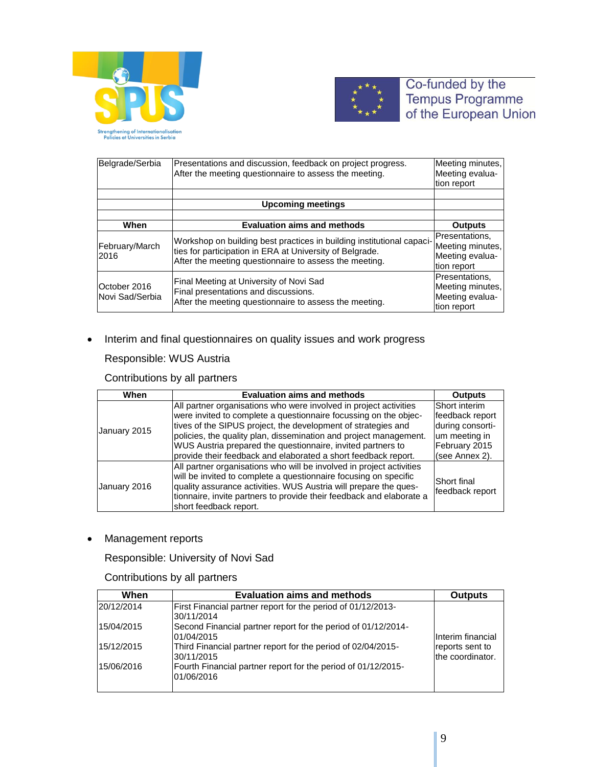



| Belgrade/Serbia<br>Presentations and discussion, feedback on project progress.<br>After the meeting questionnaire to assess the meeting. |                                                                                                                                                                                             | Meeting minutes,<br>Meeting evalua-<br>tion report                   |
|------------------------------------------------------------------------------------------------------------------------------------------|---------------------------------------------------------------------------------------------------------------------------------------------------------------------------------------------|----------------------------------------------------------------------|
|                                                                                                                                          | <b>Upcoming meetings</b>                                                                                                                                                                    |                                                                      |
|                                                                                                                                          |                                                                                                                                                                                             |                                                                      |
| When                                                                                                                                     | <b>Evaluation aims and methods</b>                                                                                                                                                          | <b>Outputs</b>                                                       |
| February/March<br>2016                                                                                                                   | Workshop on building best practices in building institutional capaci-<br>ties for participation in ERA at University of Belgrade.<br>After the meeting questionnaire to assess the meeting. | Presentations.<br>Meeting minutes,<br>Meeting evalua-<br>tion report |
| October 2016<br>Novi Sad/Serbia                                                                                                          | Final Meeting at University of Novi Sad<br>Final presentations and discussions.<br>After the meeting questionnaire to assess the meeting.                                                   | Presentations.<br>Meeting minutes,<br>Meeting evalua-<br>tion report |

• Interim and final questionnaires on quality issues and work progress

### Responsible: WUS Austria

### Contributions by all partners

| When                                                                                                                                                                                                                                                                                                                                                                                                                         | <b>Outputs</b> |                                                                                                          |
|------------------------------------------------------------------------------------------------------------------------------------------------------------------------------------------------------------------------------------------------------------------------------------------------------------------------------------------------------------------------------------------------------------------------------|----------------|----------------------------------------------------------------------------------------------------------|
| All partner organisations who were involved in project activities<br>were invited to complete a questionnaire focussing on the objec-<br>tives of the SIPUS project, the development of strategies and<br>January 2015<br>policies, the quality plan, dissemination and project management.<br>WUS Austria prepared the questionnaire, invited partners to<br>provide their feedback and elaborated a short feedback report. |                | Short interim<br>feedback report<br>during consorti-<br>um meeting in<br>February 2015<br>(see Annex 2). |
| All partner organisations who will be involved in project activities<br>will be invited to complete a questionnaire focusing on specific<br>quality assurance activities. WUS Austria will prepare the ques-<br>January 2016<br>tionnaire, invite partners to provide their feedback and elaborate a<br>short feedback report.                                                                                               |                | Short final<br>feedback report                                                                           |

• Management reports

Responsible: University of Novi Sad

## Contributions by all partners

| When       | <b>Outputs</b>                                                              |                                     |
|------------|-----------------------------------------------------------------------------|-------------------------------------|
| 20/12/2014 | First Financial partner report for the period of 01/12/2013-<br>30/11/2014  |                                     |
| 15/04/2015 | Second Financial partner report for the period of 01/12/2014-<br>01/04/2015 | Interim financial                   |
| 15/12/2015 | Third Financial partner report for the period of 02/04/2015-<br>30/11/2015  | reports sent to<br>the coordinator. |
| 15/06/2016 | Fourth Financial partner report for the period of 01/12/2015-<br>01/06/2016 |                                     |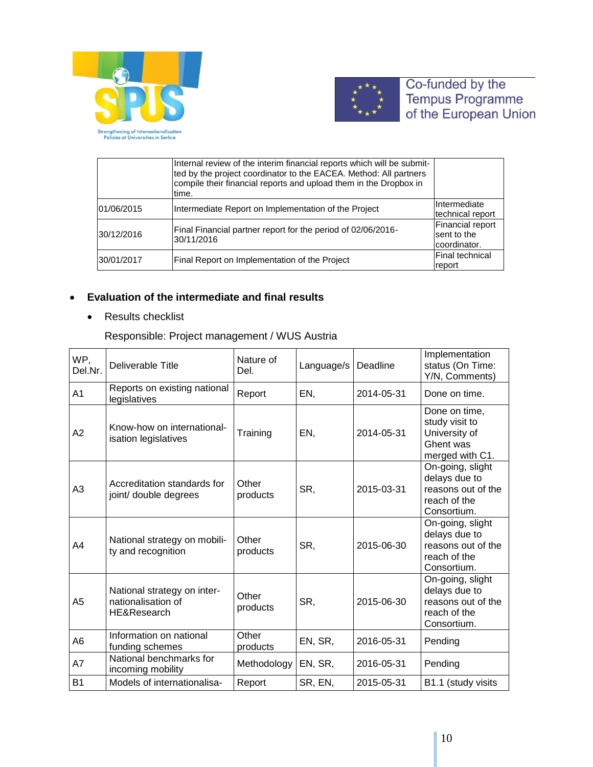



|            | Internal review of the interim financial reports which will be submit-<br>ted by the project coordinator to the EACEA. Method: All partners<br>compile their financial reports and upload them in the Dropbox in<br>time. |                                                 |
|------------|---------------------------------------------------------------------------------------------------------------------------------------------------------------------------------------------------------------------------|-------------------------------------------------|
| 01/06/2015 | Intermediate Report on Implementation of the Project                                                                                                                                                                      | Intermediate<br>technical report                |
| 30/12/2016 | Final Financial partner report for the period of 02/06/2016-<br>30/11/2016                                                                                                                                                | Financial report<br>sent to the<br>coordinator. |
| 30/01/2017 | Final Report on Implementation of the Project                                                                                                                                                                             | lFinal technical<br>report                      |

# **Evaluation of the intermediate and final results**

• Results checklist

Responsible: Project management / WUS Austria

| WP,<br>Del.Nr. | Deliverable Title                                                | Nature of<br>Del. | Language/s | Deadline   | Implementation<br>status (On Time:<br>Y/N, Comments)                                   |
|----------------|------------------------------------------------------------------|-------------------|------------|------------|----------------------------------------------------------------------------------------|
| A1             | Reports on existing national<br>legislatives                     | Report            | EN,        | 2014-05-31 | Done on time.                                                                          |
| A2             | Know-how on international-<br>isation legislatives               | Training          | EN,        | 2014-05-31 | Done on time,<br>study visit to<br>University of<br>Ghent was<br>merged with C1.       |
| A3             | Accreditation standards for<br>joint/ double degrees             | Other<br>products | SR,        | 2015-03-31 | On-going, slight<br>delays due to<br>reasons out of the<br>reach of the<br>Consortium. |
| A4             | National strategy on mobili-<br>ty and recognition               | Other<br>products | SR,        | 2015-06-30 | On-going, slight<br>delays due to<br>reasons out of the<br>reach of the<br>Consortium. |
| A5             | National strategy on inter-<br>nationalisation of<br>HE&Research | Other<br>products | SR,        | 2015-06-30 | On-going, slight<br>delays due to<br>reasons out of the<br>reach of the<br>Consortium. |
| A6             | Information on national<br>funding schemes                       | Other<br>products | EN, SR,    | 2016-05-31 | Pending                                                                                |
| A7             | National benchmarks for<br>incoming mobility                     | Methodology       | EN, SR,    | 2016-05-31 | Pending                                                                                |
| <b>B1</b>      | Models of internationalisa-                                      | Report            | SR, EN,    | 2015-05-31 | B1.1 (study visits                                                                     |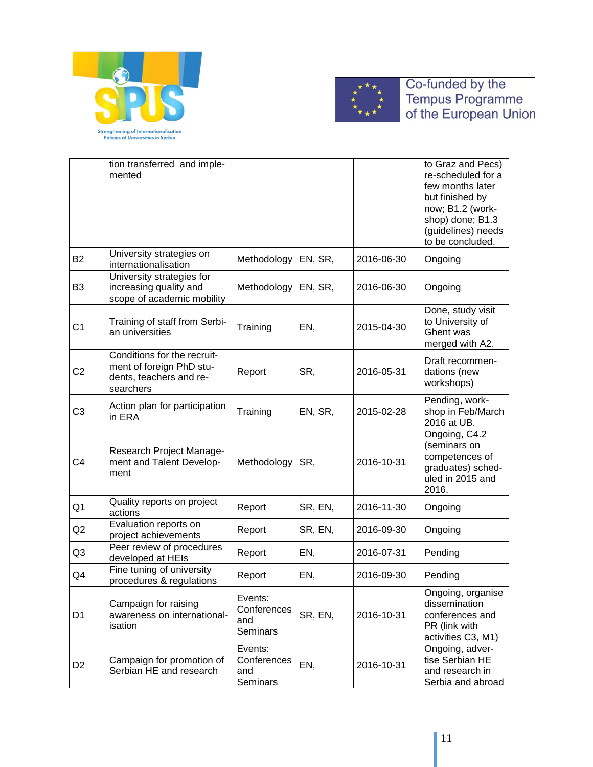



|                | tion transferred and imple-<br>mented                                                           |                                                  |         |            | to Graz and Pecs)<br>re-scheduled for a<br>few months later<br>but finished by<br>now; B1.2 (work-<br>shop) done; B1.3<br>(guidelines) needs<br>to be concluded. |
|----------------|-------------------------------------------------------------------------------------------------|--------------------------------------------------|---------|------------|------------------------------------------------------------------------------------------------------------------------------------------------------------------|
| <b>B2</b>      | University strategies on<br>internationalisation                                                | Methodology                                      | EN, SR, | 2016-06-30 | Ongoing                                                                                                                                                          |
| B <sub>3</sub> | University strategies for<br>increasing quality and<br>scope of academic mobility               | Methodology                                      | EN, SR, | 2016-06-30 | Ongoing                                                                                                                                                          |
| C <sub>1</sub> | Training of staff from Serbi-<br>an universities                                                | Training                                         | EN,     | 2015-04-30 | Done, study visit<br>to University of<br>Ghent was<br>merged with A2.                                                                                            |
| C <sub>2</sub> | Conditions for the recruit-<br>ment of foreign PhD stu-<br>dents, teachers and re-<br>searchers | Report                                           | SR,     | 2016-05-31 | Draft recommen-<br>dations (new<br>workshops)                                                                                                                    |
| C <sub>3</sub> | Action plan for participation<br>in ERA                                                         | Training                                         | EN, SR, | 2015-02-28 | Pending, work-<br>shop in Feb/March<br>2016 at UB.                                                                                                               |
| C4             | Research Project Manage-<br>ment and Talent Develop-<br>ment                                    | Methodology                                      | SR,     | 2016-10-31 | Ongoing, C4.2<br>(seminars on<br>competences of<br>graduates) sched-<br>uled in 2015 and<br>2016.                                                                |
| Q1             | Quality reports on project<br>actions                                                           | Report                                           | SR, EN, | 2016-11-30 | Ongoing                                                                                                                                                          |
| Q <sub>2</sub> | Evaluation reports on<br>project achievements                                                   | Report                                           | SR, EN, | 2016-09-30 | Ongoing                                                                                                                                                          |
| Q3             | Peer review of procedures<br>developed at HEIs                                                  | Report                                           | EN,     | 2016-07-31 | Pending                                                                                                                                                          |
| Q4             | Fine tuning of university<br>procedures & regulations                                           | Report                                           | EN,     | 2016-09-30 | Pending                                                                                                                                                          |
| D <sub>1</sub> | Campaign for raising<br>awareness on international-<br>isation                                  | Events:<br>Conferences<br>and<br><b>Seminars</b> | SR, EN, | 2016-10-31 | Ongoing, organise<br>dissemination<br>conferences and<br>PR (link with<br>activities C3, M1)                                                                     |
| D <sub>2</sub> | Campaign for promotion of<br>Serbian HE and research                                            | Events:<br>Conferences<br>and<br>Seminars        | EN,     | 2016-10-31 | Ongoing, adver-<br>tise Serbian HE<br>and research in<br>Serbia and abroad                                                                                       |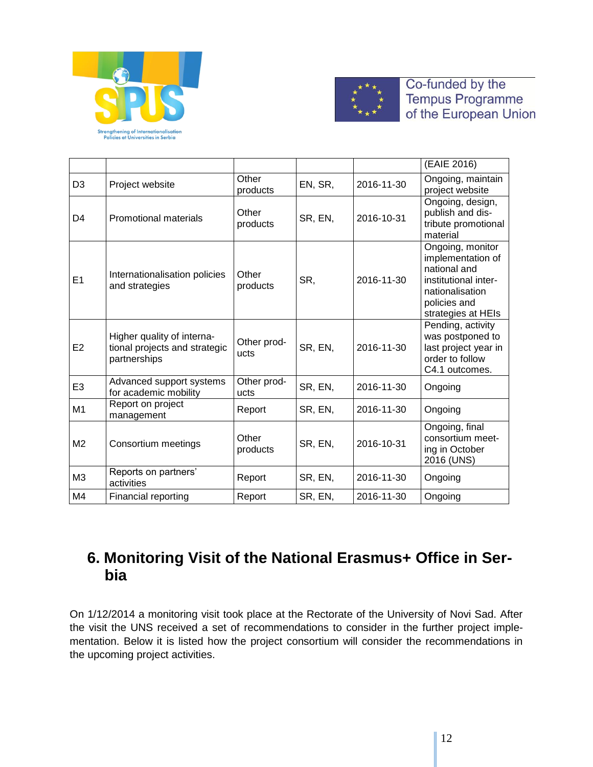



|                |                                                                             |                     |         |            | (EAIE 2016)                                                                                                                            |
|----------------|-----------------------------------------------------------------------------|---------------------|---------|------------|----------------------------------------------------------------------------------------------------------------------------------------|
| D <sub>3</sub> | Project website                                                             | Other<br>products   | EN, SR, | 2016-11-30 | Ongoing, maintain<br>project website                                                                                                   |
| D4             | <b>Promotional materials</b>                                                | Other<br>products   | SR, EN, | 2016-10-31 | Ongoing, design,<br>publish and dis-<br>tribute promotional<br>material                                                                |
| E1             | Internationalisation policies<br>and strategies                             | Other<br>products   | SR,     | 2016-11-30 | Ongoing, monitor<br>implementation of<br>national and<br>institutional inter-<br>nationalisation<br>policies and<br>strategies at HEIs |
| E <sub>2</sub> | Higher quality of interna-<br>tional projects and strategic<br>partnerships | Other prod-<br>ucts | SR, EN, | 2016-11-30 | Pending, activity<br>was postponed to<br>last project year in<br>order to follow<br>C4.1 outcomes.                                     |
| E <sub>3</sub> | Advanced support systems<br>for academic mobility                           | Other prod-<br>ucts | SR, EN, | 2016-11-30 | Ongoing                                                                                                                                |
| M <sub>1</sub> | Report on project<br>management                                             | Report              | SR, EN, | 2016-11-30 | Ongoing                                                                                                                                |
| M <sub>2</sub> | Consortium meetings                                                         | Other<br>products   | SR, EN, | 2016-10-31 | Ongoing, final<br>consortium meet-<br>ing in October<br>2016 (UNS)                                                                     |
| M <sub>3</sub> | Reports on partners'<br>activities                                          | Report              | SR, EN, | 2016-11-30 | Ongoing                                                                                                                                |
| M4             | Financial reporting                                                         | Report              | SR, EN, | 2016-11-30 | Ongoing                                                                                                                                |

# **6. Monitoring Visit of the National Erasmus+ Office in Serbia**

<span id="page-11-0"></span>On 1/12/2014 a monitoring visit took place at the Rectorate of the University of Novi Sad. After the visit the UNS received a set of recommendations to consider in the further project implementation. Below it is listed how the project consortium will consider the recommendations in the upcoming project activities.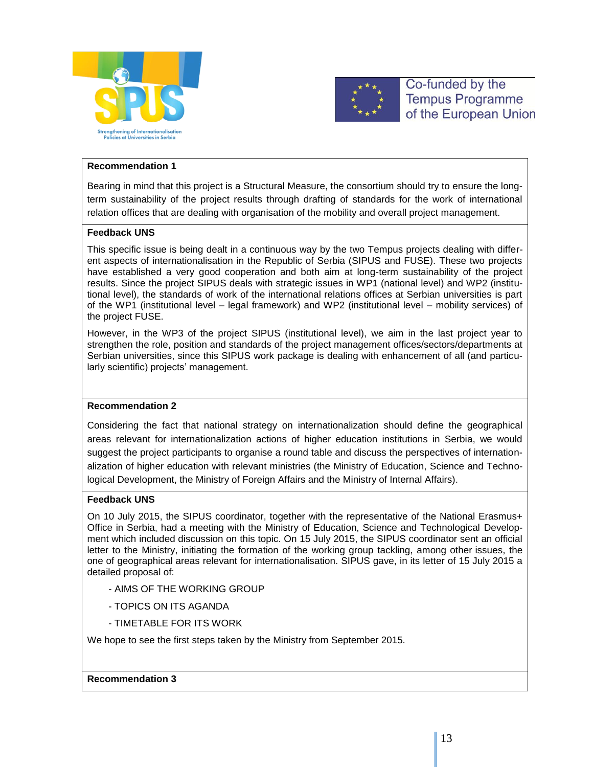



#### **Recommendation 1**

Bearing in mind that this project is a Structural Measure, the consortium should try to ensure the longterm sustainability of the project results through drafting of standards for the work of international relation offices that are dealing with organisation of the mobility and overall project management.

#### **Feedback UNS**

This specific issue is being dealt in a continuous way by the two Tempus projects dealing with different aspects of internationalisation in the Republic of Serbia (SIPUS and FUSE). These two projects have established a very good cooperation and both aim at long-term sustainability of the project results. Since the project SIPUS deals with strategic issues in WP1 (national level) and WP2 (institutional level), the standards of work of the international relations offices at Serbian universities is part of the WP1 (institutional level – legal framework) and WP2 (institutional level – mobility services) of the project FUSE.

However, in the WP3 of the project SIPUS (institutional level), we aim in the last project year to strengthen the role, position and standards of the project management offices/sectors/departments at Serbian universities, since this SIPUS work package is dealing with enhancement of all (and particularly scientific) projects' management.

#### **Recommendation 2**

Considering the fact that national strategy on internationalization should define the geographical areas relevant for internationalization actions of higher education institutions in Serbia, we would suggest the project participants to organise a round table and discuss the perspectives of internationalization of higher education with relevant ministries (the Ministry of Education, Science and Technological Development, the Ministry of Foreign Affairs and the Ministry of Internal Affairs).

#### **Feedback UNS**

On 10 July 2015, the SIPUS coordinator, together with the representative of the National Erasmus+ Office in Serbia, had a meeting with the Ministry of Education, Science and Technological Development which included discussion on this topic. On 15 July 2015, the SIPUS coordinator sent an official letter to the Ministry, initiating the formation of the working group tackling, among other issues, the one of geographical areas relevant for internationalisation. SIPUS gave, in its letter of 15 July 2015 a detailed proposal of:

- AIMS OF THE WORKING GROUP
- TOPICS ON ITS AGANDA
- TIMETABLE FOR ITS WORK

We hope to see the first steps taken by the Ministry from September 2015.

#### **Recommendation 3**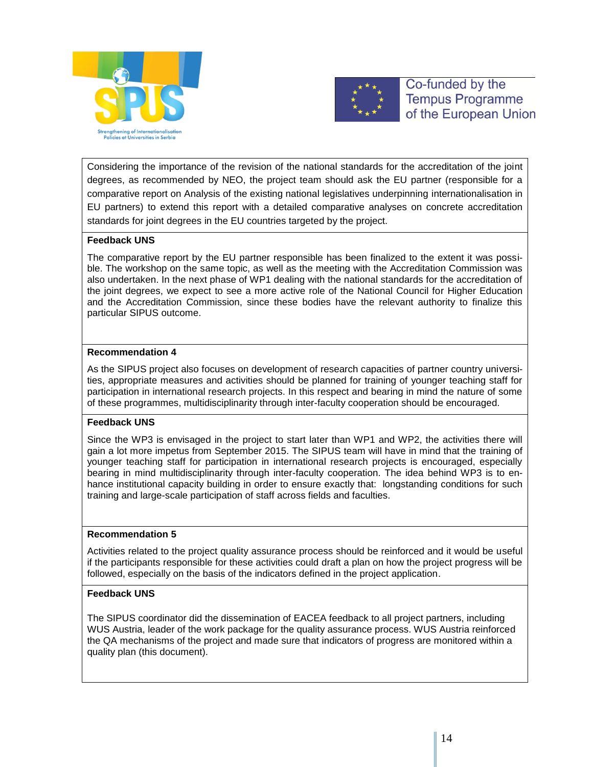



Considering the importance of the revision of the national standards for the accreditation of the joint degrees, as recommended by NEO, the project team should ask the EU partner (responsible for a comparative report on Analysis of the existing national legislatives underpinning internationalisation in EU partners) to extend this report with a detailed comparative analyses on concrete accreditation standards for joint degrees in the EU countries targeted by the project.

#### **Feedback UNS**

The comparative report by the EU partner responsible has been finalized to the extent it was possible. The workshop on the same topic, as well as the meeting with the Accreditation Commission was also undertaken. In the next phase of WP1 dealing with the national standards for the accreditation of the joint degrees, we expect to see a more active role of the National Council for Higher Education and the Accreditation Commission, since these bodies have the relevant authority to finalize this particular SIPUS outcome.

#### **Recommendation 4**

As the SIPUS project also focuses on development of research capacities of partner country universities, appropriate measures and activities should be planned for training of younger teaching staff for participation in international research projects. In this respect and bearing in mind the nature of some of these programmes, multidisciplinarity through inter-faculty cooperation should be encouraged.

#### **Feedback UNS**

Since the WP3 is envisaged in the project to start later than WP1 and WP2, the activities there will gain a lot more impetus from September 2015. The SIPUS team will have in mind that the training of younger teaching staff for participation in international research projects is encouraged, especially bearing in mind multidisciplinarity through inter-faculty cooperation. The idea behind WP3 is to enhance institutional capacity building in order to ensure exactly that: longstanding conditions for such training and large-scale participation of staff across fields and faculties.

#### **Recommendation 5**

Activities related to the project quality assurance process should be reinforced and it would be useful if the participants responsible for these activities could draft a plan on how the project progress will be followed, especially on the basis of the indicators defined in the project application.

#### **Feedback UNS**

The SIPUS coordinator did the dissemination of EACEA feedback to all project partners, including WUS Austria, leader of the work package for the quality assurance process. WUS Austria reinforced the QA mechanisms of the project and made sure that indicators of progress are monitored within a quality plan (this document).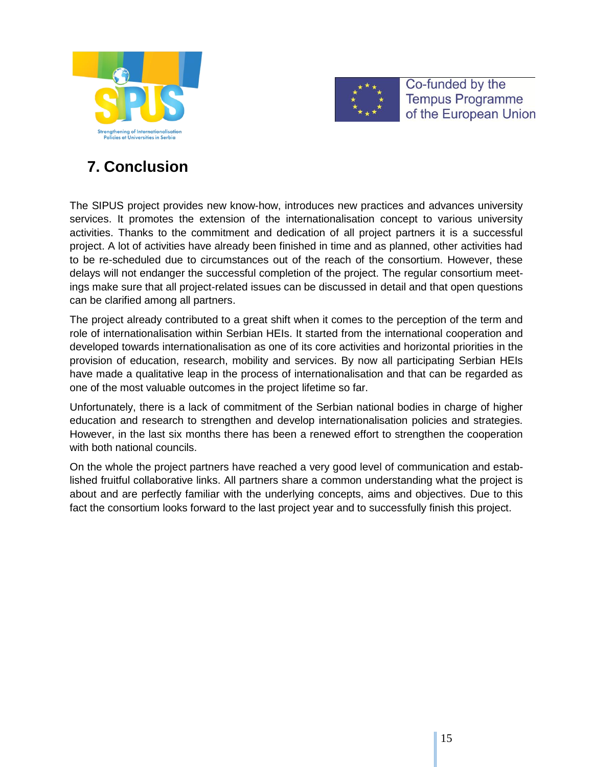



# **7. Conclusion**

<span id="page-14-0"></span>The SIPUS project provides new know-how, introduces new practices and advances university services. It promotes the extension of the internationalisation concept to various university activities. Thanks to the commitment and dedication of all project partners it is a successful project. A lot of activities have already been finished in time and as planned, other activities had to be re-scheduled due to circumstances out of the reach of the consortium. However, these delays will not endanger the successful completion of the project. The regular consortium meetings make sure that all project-related issues can be discussed in detail and that open questions can be clarified among all partners.

The project already contributed to a great shift when it comes to the perception of the term and role of internationalisation within Serbian HEIs. It started from the international cooperation and developed towards internationalisation as one of its core activities and horizontal priorities in the provision of education, research, mobility and services. By now all participating Serbian HEIs have made a qualitative leap in the process of internationalisation and that can be regarded as one of the most valuable outcomes in the project lifetime so far.

Unfortunately, there is a lack of commitment of the Serbian national bodies in charge of higher education and research to strengthen and develop internationalisation policies and strategies. However, in the last six months there has been a renewed effort to strengthen the cooperation with both national councils.

On the whole the project partners have reached a very good level of communication and established fruitful collaborative links. All partners share a common understanding what the project is about and are perfectly familiar with the underlying concepts, aims and objectives. Due to this fact the consortium looks forward to the last project year and to successfully finish this project.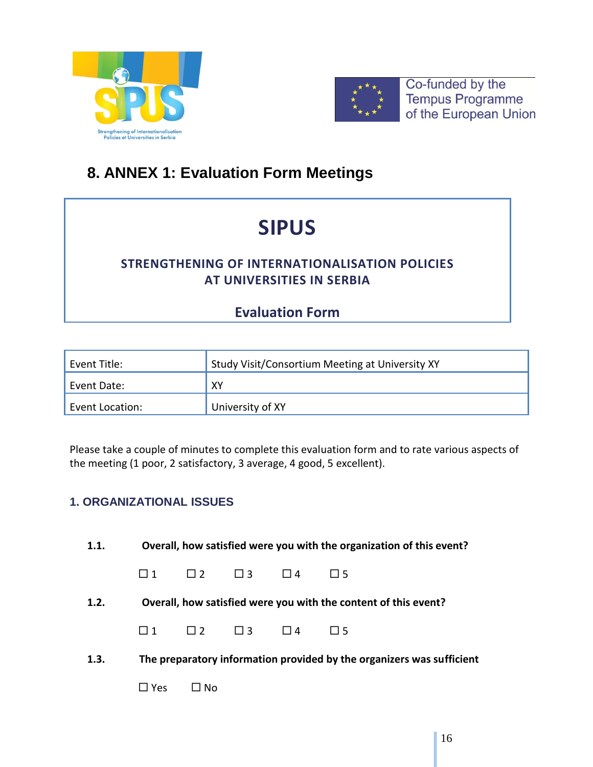



# <span id="page-15-0"></span>**8. ANNEX 1: Evaluation Form Meetings**

# **SIPUS**

# **STRENGTHENING OF INTERNATIONALISATION POLICIES AT UNIVERSITIES IN SERBIA**

# **Evaluation Form**

| Event Title:    | Study Visit/Consortium Meeting at University XY |
|-----------------|-------------------------------------------------|
| Event Date:     | XY                                              |
| Event Location: | University of XY                                |

Please take a couple of minutes to complete this evaluation form and to rate various aspects of the meeting (1 poor, 2 satisfactory, 3 average, 4 good, 5 excellent).

# **1. ORGANIZATIONAL ISSUES**

| 1.1. |            |                            |                            | Overall, how satisfied were you with the organization of this event?  |
|------|------------|----------------------------|----------------------------|-----------------------------------------------------------------------|
|      | $\Box$ 1   |                            | $\Box$ 2 $\Box$ 3 $\Box$ 4 | $\Box$ 5                                                              |
| 1.2. |            |                            |                            | Overall, how satisfied were you with the content of this event?       |
|      | $\Box$ 1   | $\Box$ 2 $\Box$ 3 $\Box$ 4 |                            | 115                                                                   |
| 1.3. |            |                            |                            | The preparatory information provided by the organizers was sufficient |
|      | $\Box$ Yes | $\Box$ No                  |                            |                                                                       |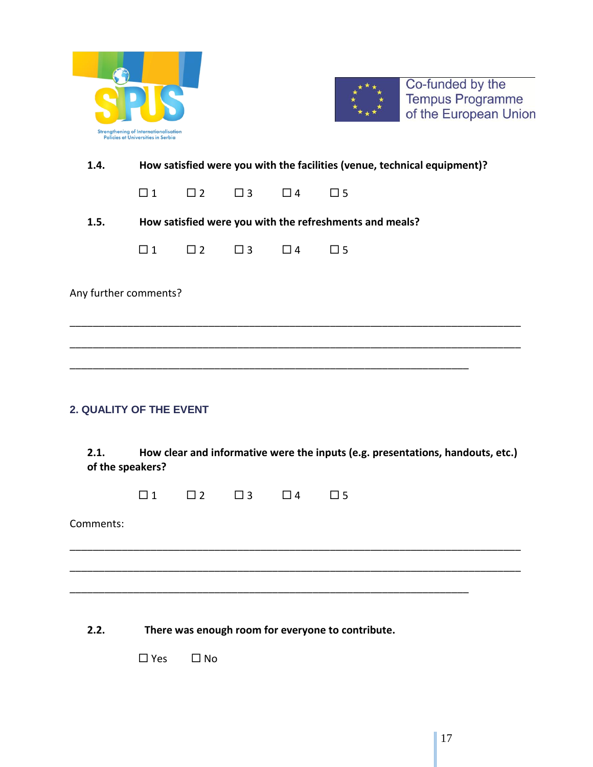| <b>Strengthening of Internationalisation</b><br>Policies at Universities in Serbia |  |
|------------------------------------------------------------------------------------|--|



**1.4. How satisfied were you with the facilities (venue, technical equipment)?**

 $\Box 1 \qquad \Box 2 \qquad \Box 3 \qquad \Box 4 \qquad \Box 5$ 

**1.5. How satisfied were you with the refreshments and meals?**

| г   | - | Δ | 1 – |
|-----|---|---|-----|
| 1 1 |   |   | -   |
|     |   |   |     |

Any further comments?

### **2. QUALITY OF THE EVENT**

**2.1. How clear and informative were the inputs (e.g. presentations, handouts, etc.) of the speakers?**

\_\_\_\_\_\_\_\_\_\_\_\_\_\_\_\_\_\_\_\_\_\_\_\_\_\_\_\_\_\_\_\_\_\_\_\_\_\_\_\_\_\_\_\_\_\_\_\_\_\_\_\_\_\_\_\_\_\_\_\_\_\_\_\_\_\_\_\_\_\_\_\_\_\_\_\_\_\_

\_\_\_\_\_\_\_\_\_\_\_\_\_\_\_\_\_\_\_\_\_\_\_\_\_\_\_\_\_\_\_\_\_\_\_\_\_\_\_\_\_\_\_\_\_\_\_\_\_\_\_\_\_\_\_\_\_\_\_\_\_\_\_\_\_\_\_\_\_\_\_\_\_\_\_\_\_\_

\_\_\_\_\_\_\_\_\_\_\_\_\_\_\_\_\_\_\_\_\_\_\_\_\_\_\_\_\_\_\_\_\_\_\_\_\_\_\_\_\_\_\_\_\_\_\_\_\_\_\_\_\_\_\_\_\_\_\_\_\_\_\_\_\_\_\_\_\_

\_\_\_\_\_\_\_\_\_\_\_\_\_\_\_\_\_\_\_\_\_\_\_\_\_\_\_\_\_\_\_\_\_\_\_\_\_\_\_\_\_\_\_\_\_\_\_\_\_\_\_\_\_\_\_\_\_\_\_\_\_\_\_\_\_\_\_\_\_\_\_\_\_\_\_\_\_\_

\_\_\_\_\_\_\_\_\_\_\_\_\_\_\_\_\_\_\_\_\_\_\_\_\_\_\_\_\_\_\_\_\_\_\_\_\_\_\_\_\_\_\_\_\_\_\_\_\_\_\_\_\_\_\_\_\_\_\_\_\_\_\_\_\_\_\_\_\_\_\_\_\_\_\_\_\_\_

\_\_\_\_\_\_\_\_\_\_\_\_\_\_\_\_\_\_\_\_\_\_\_\_\_\_\_\_\_\_\_\_\_\_\_\_\_\_\_\_\_\_\_\_\_\_\_\_\_\_\_\_\_\_\_\_\_\_\_\_\_\_\_\_\_\_\_\_\_

| . .<br>٠ | n | $-$ |  |
|----------|---|-----|--|
|          |   |     |  |

Comments:

**2.2. There was enough room for everyone to contribute.**

 $\Box$  Yes  $\Box$  No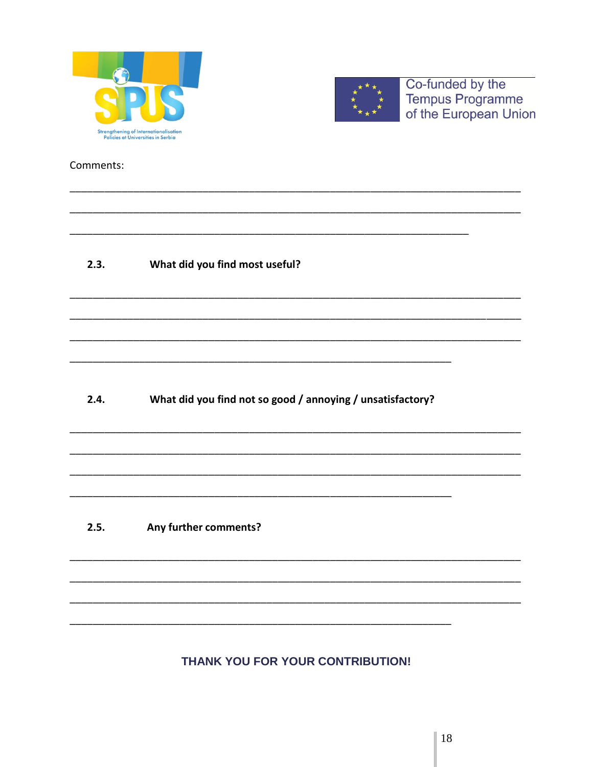



Comments:

#### $2.3.$ What did you find most useful?

What did you find not so good / annoying / unsatisfactory?  $2.4.$ 

#### $2.5.$ Any further comments?

# THANK YOU FOR YOUR CONTRIBUTION!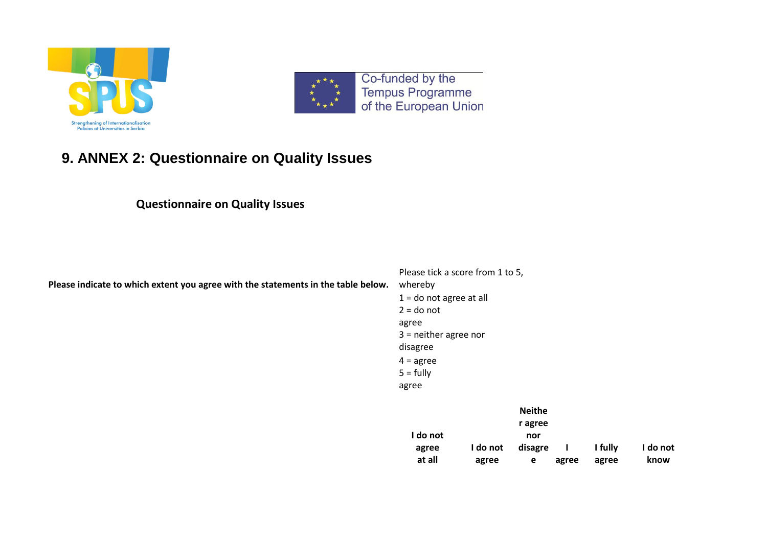



# **9. ANNEX 2: Questionnaire on Quality Issues**

# **Questionnaire on Quality Issues**

<span id="page-18-0"></span>

| Please indicate to which extent you agree with the statements in the table below. | Please tick a score from 1 to 5,<br>whereby<br>$1 =$ do not agree at all<br>$2 =$ do not<br>agree<br>$3$ = neither agree nor<br>disagree<br>$4 = agree$<br>$5 = fully$<br>agree |                   |                                                 |       |                  |                  |
|-----------------------------------------------------------------------------------|---------------------------------------------------------------------------------------------------------------------------------------------------------------------------------|-------------------|-------------------------------------------------|-------|------------------|------------------|
|                                                                                   | I do not<br>agree<br>at all                                                                                                                                                     | I do not<br>agree | <b>Neithe</b><br>r agree<br>nor<br>disagre<br>e | agree | I fully<br>agree | I do not<br>know |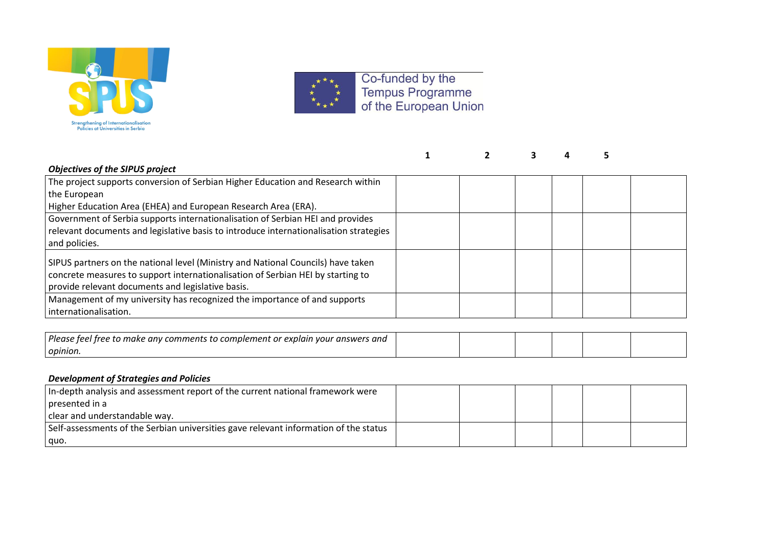



| <b>Objectives of the SIPUS project</b>                                                |  |  |  |
|---------------------------------------------------------------------------------------|--|--|--|
| The project supports conversion of Serbian Higher Education and Research within       |  |  |  |
| the European                                                                          |  |  |  |
| Higher Education Area (EHEA) and European Research Area (ERA).                        |  |  |  |
| Government of Serbia supports internationalisation of Serbian HEI and provides        |  |  |  |
| relevant documents and legislative basis to introduce internationalisation strategies |  |  |  |
| and policies.                                                                         |  |  |  |
| SIPUS partners on the national level (Ministry and National Councils) have taken      |  |  |  |
| concrete measures to support internationalisation of Serbian HEI by starting to       |  |  |  |
| provide relevant documents and legislative basis.                                     |  |  |  |
| Management of my university has recognized the importance of and supports             |  |  |  |
| internationalisation.                                                                 |  |  |  |
|                                                                                       |  |  |  |
| Please feel free to make any comments to complement or explain your answers and       |  |  |  |

#### *Development of Strategies and Policies*

*opinion.*

| In-depth analysis and assessment report of the current national framework were       |  |  |  |
|--------------------------------------------------------------------------------------|--|--|--|
| I presented in a                                                                     |  |  |  |
| clear and understandable way.                                                        |  |  |  |
| Self-assessments of the Serbian universities gave relevant information of the status |  |  |  |
| quo.                                                                                 |  |  |  |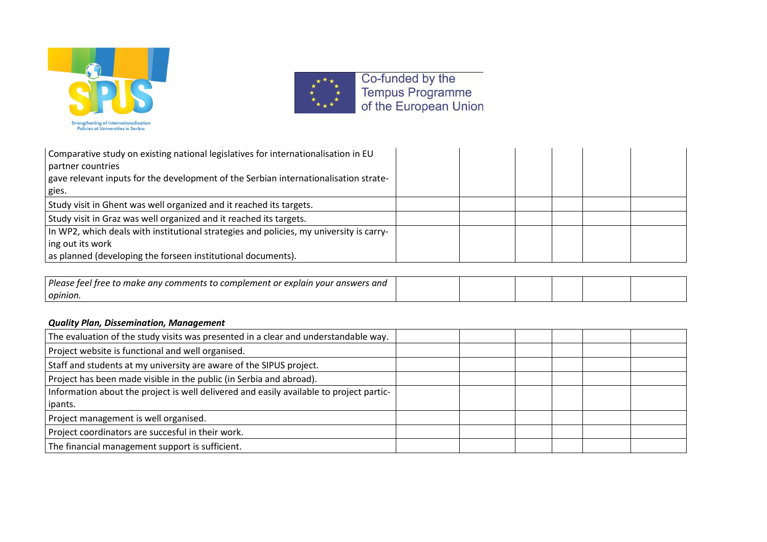



| Comparative study on existing national legislatives for internationalisation in EU      |  |  |  |
|-----------------------------------------------------------------------------------------|--|--|--|
| partner countries                                                                       |  |  |  |
| gave relevant inputs for the development of the Serbian internationalisation strate-    |  |  |  |
| gies.                                                                                   |  |  |  |
| Study visit in Ghent was well organized and it reached its targets.                     |  |  |  |
| Study visit in Graz was well organized and it reached its targets.                      |  |  |  |
| In WP2, which deals with institutional strategies and policies, my university is carry- |  |  |  |
| ing out its work                                                                        |  |  |  |
| as planned (developing the forseen institutional documents).                            |  |  |  |
|                                                                                         |  |  |  |

| Pleas<br>.s and<br>$\sim$ NUQIN VO<br>. answers<br>יסמי<br>compiement<br>. таке<br>comments<br>anv.<br>Troo<br>,uur |  |  |  |
|---------------------------------------------------------------------------------------------------------------------|--|--|--|
| opinion                                                                                                             |  |  |  |

### *Quality Plan, Dissemination, Management*

| The evaluation of the study visits was presented in a clear and understandable way.     |  |  |  |
|-----------------------------------------------------------------------------------------|--|--|--|
| Project website is functional and well organised.                                       |  |  |  |
| Staff and students at my university are aware of the SIPUS project.                     |  |  |  |
| Project has been made visible in the public (in Serbia and abroad).                     |  |  |  |
| Information about the project is well delivered and easily available to project partic- |  |  |  |
| ipants.                                                                                 |  |  |  |
| Project management is well organised.                                                   |  |  |  |
| Project coordinators are succesful in their work.                                       |  |  |  |
| The financial management support is sufficient.                                         |  |  |  |